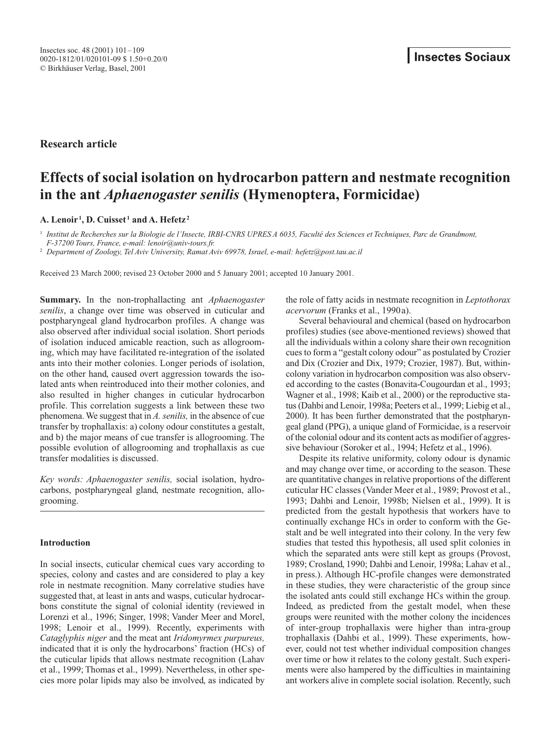# **Research article**

# **Effects of social isolation on hydrocarbon pattern and nestmate recognition in the ant** *Aphaenogaster senilis* **(Hymenoptera, Formicidae)**

# **A. Lenoir <sup>1</sup> , D. Cuisset <sup>1</sup> and A. Hefetz <sup>2</sup>**

<sup>1</sup> *Institut de Recherches sur la Biologie de l'Insecte, IRBI-CNRS UPRES A 6035, Faculté des Sciences et Techniques, Parc de Grandmont, F-37200 Tours, France, e-mail: lenoir@univ-tours.fr.* 

<sup>2</sup> *Department of Zoology, Tel Aviv University, Ramat Aviv 69978, Israel, e-mail: hefetz@post.tau.ac.il*

Received 23 March 2000; revised 23 October 2000 and 5 January 2001; accepted 10 January 2001.

**Summary.** In the non-trophallacting ant *Aphaenogaster senilis*, a change over time was observed in cuticular and postpharyngeal gland hydrocarbon profiles. A change was also observed after individual social isolation. Short periods of isolation induced amicable reaction, such as allogrooming, which may have facilitated re-integration of the isolated ants into their mother colonies. Longer periods of isolation, on the other hand, caused overt aggression towards the isolated ants when reintroduced into their mother colonies, and also resulted in higher changes in cuticular hydrocarbon profile. This correlation suggests a link between these two phenomena. We suggest that in *A. senilis,* in the absence of cue transfer by trophallaxis: a) colony odour constitutes a gestalt, and b) the major means of cue transfer is allogrooming. The possible evolution of allogrooming and trophallaxis as cue transfer modalities is discussed.

*Key words: Aphaenogaster senilis,* social isolation, hydrocarbons, postpharyngeal gland, nestmate recognition, allogrooming.

## **Introduction**

In social insects, cuticular chemical cues vary according to species, colony and castes and are considered to play a key role in nestmate recognition. Many correlative studies have suggested that, at least in ants and wasps, cuticular hydrocarbons constitute the signal of colonial identity (reviewed in Lorenzi et al., 1996; Singer, 1998; Vander Meer and Morel, 1998; Lenoir et al., 1999). Recently, experiments with *Cataglyphis niger* and the meat ant *Iridomyrmex purpureus,* indicated that it is only the hydrocarbons' fraction (HCs) of the cuticular lipids that allows nestmate recognition (Lahav et al., 1999; Thomas et al., 1999). Nevertheless, in other species more polar lipids may also be involved, as indicated by

the role of fatty acids in nestmate recognition in *Leptothorax acervorum* (Franks et al., 1990a).

Several behavioural and chemical (based on hydrocarbon profiles) studies (see above-mentioned reviews) showed that all the individuals within a colony share their own recognition cues to form a "gestalt colony odour" as postulated by Crozier and Dix (Crozier and Dix, 1979; Crozier, 1987). But, withincolony variation in hydrocarbon composition was also observed according to the castes (Bonavita-Cougourdan et al., 1993; Wagner et al., 1998; Kaib et al., 2000) or the reproductive status (Dahbi and Lenoir, 1998a; Peeters et al., 1999; Liebig et al., 2000). It has been further demonstrated that the postpharyngeal gland (PPG), a unique gland of Formicidae, is a reservoir of the colonial odour and its content acts as modifier of aggressive behaviour (Soroker et al., 1994; Hefetz et al., 1996).

Despite its relative uniformity, colony odour is dynamic and may change over time, or according to the season. These are quantitative changes in relative proportions of the different cuticular HC classes (Vander Meer et al., 1989; Provost et al., 1993; Dahbi and Lenoir, 1998b; Nielsen et al., 1999). It is predicted from the gestalt hypothesis that workers have to continually exchange HCs in order to conform with the Gestalt and be well integrated into their colony. In the very few studies that tested this hypothesis, all used split colonies in which the separated ants were still kept as groups (Provost, 1989; Crosland, 1990; Dahbi and Lenoir, 1998a; Lahav et al., in press.). Although HC-profile changes were demonstrated in these studies, they were characteristic of the group since the isolated ants could still exchange HCs within the group. Indeed, as predicted from the gestalt model, when these groups were reunited with the mother colony the incidences of inter-group trophallaxis were higher than intra-group trophallaxis (Dahbi et al., 1999). These experiments, however, could not test whether individual composition changes over time or how it relates to the colony gestalt. Such experiments were also hampered by the difficulties in maintaining ant workers alive in complete social isolation. Recently, such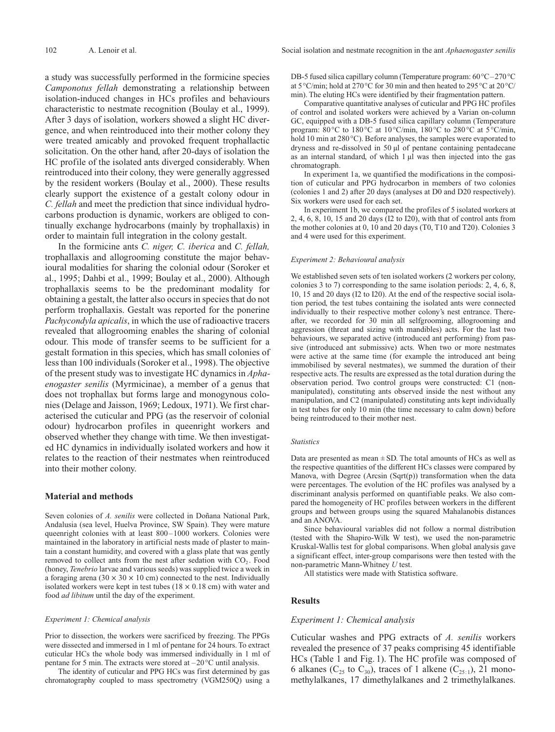a study was successfully performed in the formicine species *Camponotus fellah* demonstrating a relationship between isolation-induced changes in HCs profiles and behaviours characteristic to nestmate recognition (Boulay et al., 1999). After 3 days of isolation, workers showed a slight HC divergence, and when reintroduced into their mother colony they were treated amicably and provoked frequent trophallactic solicitation. On the other hand, after 20-days of isolation the HC profile of the isolated ants diverged considerably. When reintroduced into their colony, they were generally aggressed by the resident workers (Boulay et al., 2000). These results clearly support the existence of a gestalt colony odour in *C. fellah* and meet the prediction that since individual hydrocarbons production is dynamic, workers are obliged to continually exchange hydrocarbons (mainly by trophallaxis) in order to maintain full integration in the colony gestalt.

In the formicine ants *C. niger, C. iberica* and *C. fellah,* trophallaxis and allogrooming constitute the major behavioural modalities for sharing the colonial odour (Soroker et al., 1995; Dahbi et al., 1999; Boulay et al., 2000). Although trophallaxis seems to be the predominant modality for obtaining a gestalt, the latter also occurs in species that do not perform trophallaxis. Gestalt was reported for the ponerine *Pachycondyla apicalis*, in which the use of radioactive tracers revealed that allogrooming enables the sharing of colonial odour. This mode of transfer seems to be sufficient for a gestalt formation in this species, which has small colonies of less than 100 individuals (Soroker et al., 1998). The objective of the present study was to investigate HC dynamics in *Aphaenogaster senilis* (Myrmicinae), a member of a genus that does not trophallax but forms large and monogynous colonies (Delage and Jaisson, 1969; Ledoux, 1971). We first characterised the cuticular and PPG (as the reservoir of colonial odour) hydrocarbon profiles in queenright workers and observed whether they change with time. We then investigated HC dynamics in individually isolated workers and how it relates to the reaction of their nestmates when reintroduced into their mother colony.

## **Material and methods**

Seven colonies of *A. senilis* were collected in Doñana National Park, Andalusia (sea level, Huelva Province, SW Spain). They were mature queenright colonies with at least 800–1000 workers. Colonies were maintained in the laboratory in artificial nests made of plaster to maintain a constant humidity, and covered with a glass plate that was gently removed to collect ants from the nest after sedation with  $CO<sub>2</sub>$ . Food (honey, *Tenebrio* larvae and various seeds) was supplied twice a week in a foraging arena (30  $\times$  30  $\times$  10 cm) connected to the nest. Individually isolated workers were kept in test tubes ( $18 \times 0.18$  cm) with water and food *ad libitum* until the day of the experiment.

#### *Experiment 1: Chemical analysis*

Prior to dissection, the workers were sacrificed by freezing. The PPGs were dissected and immersed in 1 ml of pentane for 24 hours. To extract cuticular HCs the whole body was immersed individually in 1 ml of pentane for 5 min. The extracts were stored at –20°C until analysis.

The identity of cuticular and PPG HCs was first determined by gas chromatography coupled to mass spectrometry (VGM250Q) using a DB-5 fused silica capillary column (Temperature program: 60°C–270°C at 5°C/min; hold at 270°C for 30 min and then heated to 295°C at 20°C/ min). The eluting HCs were identified by their fragmentation pattern.

Comparative quantitative analyses of cuticular and PPG HC profiles of control and isolated workers were achieved by a Varian on-column GC, equipped with a DB-5 fused silica capillary column (Temperature program: 80°C to 180°C at 10°C/min, 180°C to 280°C at 5°C/min, hold 10 min at 280°C). Before analyses, the samples were evaporated to dryness and re-dissolved in 50 µl of pentane containing pentadecane as an internal standard, of which 1 µl was then injected into the gas chromatograph.

In experiment 1a, we quantified the modifications in the composition of cuticular and PPG hydrocarbon in members of two colonies (colonies 1 and 2) after 20 days (analyses at D0 and D20 respectively). Six workers were used for each set.

In experiment 1b, we compared the profiles of 5 isolated workers at 2, 4, 6, 8, 10, 15 and 20 days (I2 to I20), with that of control ants from the mother colonies at 0, 10 and 20 days (T0, T10 and T20). Colonies 3 and 4 were used for this experiment.

#### *Experiment 2: Behavioural analysis*

We established seven sets of ten isolated workers (2 workers per colony, colonies 3 to 7) corresponding to the same isolation periods: 2, 4, 6, 8, 10, 15 and 20 days (I2 to I20). At the end of the respective social isolation period, the test tubes containing the isolated ants were connected individually to their respective mother colony's nest entrance. Thereafter, we recorded for 30 min all selfgrooming, allogrooming and aggression (threat and sizing with mandibles) acts. For the last two behaviours, we separated active (introduced ant performing) from passive (introduced ant submissive) acts. When two or more nestmates were active at the same time (for example the introduced ant being immobilised by several nestmates), we summed the duration of their respective acts. The results are expressed as the total duration during the observation period. Two control groups were constructed: C1 (nonmanipulated), constituting ants observed inside the nest without any manipulation, and C2 (manipulated) constituting ants kept individually in test tubes for only 10 min (the time necessary to calm down) before being reintroduced to their mother nest.

#### *Statistics*

Data are presented as mean  $\pm$  SD. The total amounts of HCs as well as the respective quantities of the different HCs classes were compared by Manova, with Degree (Arcsin (Sqrt(p)) transformation when the data were percentages. The evolution of the HC profiles was analysed by a discriminant analysis performed on quantifiable peaks. We also compared the homogeneity of HC profiles between workers in the different groups and between groups using the squared Mahalanobis distances and an ANOVA.

Since behavioural variables did not follow a normal distribution (tested with the Shapiro-Wilk W test), we used the non-parametric Kruskal-Wallis test for global comparisons. When global analysis gave a significant effect, inter-group comparisons were then tested with the non-parametric Mann-Whitney *U* test.

All statistics were made with Statistica software.

#### **Results**

#### *Experiment 1: Chemical analysis*

Cuticular washes and PPG extracts of *A. senilis* workers revealed the presence of 37 peaks comprising 45 identifiable HCs (Table 1 and Fig. 1). The HC profile was composed of 6 alkanes ( $C_{25}$  to  $C_{30}$ ), traces of 1 alkene ( $C_{25-1}$ ), 21 monomethylalkanes, 17 dimethylalkanes and 2 trimethylalkanes.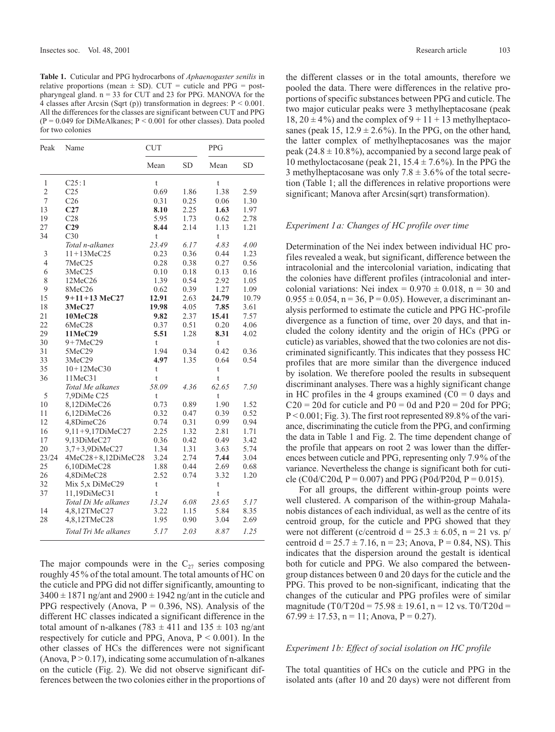**Table 1.** Cuticular and PPG hydrocarbons of *Aphaenogaster senilis* in relative proportions (mean  $\pm$  SD). CUT = cuticle and PPG = postpharyngeal gland. n = 33 for CUT and 23 for PPG. MANOVA for the 4 classes after Arcsin (Sqrt (p)) transformation in degrees: P < 0.001. All the differences for the classes are significant between CUT and PPG  $(P = 0.049$  for DiMeAlkanes;  $P \le 0.001$  for other classes). Data pooled for two colonies

| Peak           | Name                   | <b>CUT</b>    |           | <b>PPG</b>     |       |
|----------------|------------------------|---------------|-----------|----------------|-------|
|                |                        | Mean          | <b>SD</b> | Mean           | SD    |
| 1              | C25:1                  | t             |           | t              |       |
| $\overline{2}$ | C <sub>25</sub>        | 0.69          | 1.86      | 1.38           | 2.59  |
| 7              | C <sub>26</sub>        | 0.31          | 0.25      | 0.06           | 1.30  |
| 13             | C27                    | 8.10          | 2.25      | 1.63           | 1.97  |
| 19             | C28                    | 5.95          | 1.73      | 0.62           | 2.78  |
| 27             | C <sub>29</sub>        | 8.44          | 2.14      | 1.13           | 1.21  |
| 34             | C30                    | $\mathfrak t$ |           | t              |       |
|                | Total n-alkanes        | 23.49         | 6.17      | 4.83           | 4.00  |
| 3              | $11 + 13$ MeC25        | 0.23          | 0.36      | 0.44           | 1.23  |
| $\overline{4}$ | 7MeC25                 | 0.28          | 0.38      | 0.27           | 0.56  |
| 6              | 3MeC25                 | 0.10          | 0.18      | 0.13           | 0.16  |
| 8              | 12MeC26                | 1.39          | 0.54      | 2.92           | 1.05  |
| 9              | 8MeC26                 | 0.62          | 0.39      | 1.27           | 1.09  |
| 15             | $9+11+13$ MeC27        | 12.91         | 2.63      | 24.79          | 10.79 |
| 18             | 3MeC27                 | 19.98         | 4.05      | 7.85           | 3.61  |
| 21             | 10MeC28                | 9.82          | 2.37      | 15.41          | 7.57  |
| 22             | 6MeC28                 | 0.37          | 0.51      | 0.20           | 4.06  |
| 29             | 11MeC29                | 5.51          | 1.28      | 8.31           | 4.02  |
| 30             | $9+7MeC29$             | $\mathfrak t$ |           | t              |       |
| 31             | 5MeC29                 | 1.94          | 0.34      | 0.42           | 0.36  |
| 33             | 3MeC29                 | 4.97          | 1.35      | 0.64           | 0.54  |
| 35             | $10+12MeC30$           | $\mathfrak t$ |           | t              |       |
| 36             | 11MeC31                | t             |           | $\mathfrak{t}$ |       |
|                | Total Me alkanes       | 58.09         | 4.36      | 62.65          | 7.50  |
| 5              | 7,9DiMe C25            | t             |           | t              |       |
| 10             | 8,12DiMeC26            | 0.73          | 0.89      | 1.90           | 1.52  |
| 11             | 6,12DiMeC26            | 0.32          | 0.47      | 0.39           | 0.52  |
| 12             | 4,8DimeC26             | 0.74          | 0.31      | 0.99           | 0.94  |
| 16             | 9,11+9,17DiMeC27       | 2.25          | 1.32      | 2.81           | 1.71  |
| 17             | 9,13DiMeC27            | 0.36          | 0.42      | 0.49           | 3.42  |
| 20             | 3,7+3,9DiMeC27         | 1.34          | 1.31      | 3.63           | 5.74  |
| 23/24          | $4MeC28 + 8,12DiMeC28$ | 3.24          | 2.74      | 7.44           | 3.04  |
| 25             | 6,10DiMeC28            | 1.88          | 0.44      | 2.69           | 0.68  |
| 26             | 4,8DiMeC28             | 2.52          | 0.74      | 3.32           | 1.20  |
| 32             | Mix 5, x DiMeC29       | t             |           | $\mathfrak{t}$ |       |
| 37             | 11,19DiMeC31           | t             |           | t              |       |
|                | Total Di Me alkanes    | 13.24         | 6.08      | 23.65          | 5.17  |
| 14             | 4,8,12TMeC27           | 3.22          | 1.15      | 5.84           | 8.35  |
| 28             | 4,8,12TMeC28           | 1.95          | 0.90      | 3.04           | 2.69  |
|                | Total Tri Me alkanes   | 5.17          | 2.03      | 8.87           | 1.25  |

The major compounds were in the  $C_{27}$  series composing roughly 45% of the total amount. The total amounts of HC on the cuticle and PPG did not differ significantly, amounting to  $3400 \pm 1871$  ng/ant and  $2900 \pm 1942$  ng/ant in the cuticle and PPG respectively (Anova,  $P = 0.396$ , NS). Analysis of the different HC classes indicated a significant difference in the total amount of n-alkanes (783  $\pm$  411 and 135  $\pm$  103 ng/ant respectively for cuticle and PPG, Anova,  $P < 0.001$ ). In the other classes of HCs the differences were not significant (Anova,  $P > 0.17$ ), indicating some accumulation of n-alkanes on the cuticle (Fig. 2). We did not observe significant differences between the two colonies either in the proportions of the different classes or in the total amounts, therefore we pooled the data. There were differences in the relative proportions of specific substances between PPG and cuticle. The two major cuticular peaks were 3 methylheptacosane (peak 18,  $20 \pm 4\%$ ) and the complex of  $9 + 11 + 13$  methylheptacosanes (peak 15,  $12.9 \pm 2.6\%$ ). In the PPG, on the other hand, the latter complex of methylheptacosanes was the major peak (24.8  $\pm$  10.8%), accompanied by a second large peak of 10 methyloctacosane (peak 21,  $15.4 \pm 7.6\%$ ). In the PPG the 3 methylheptacosane was only  $7.8 \pm 3.6\%$  of the total secretion (Table 1; all the differences in relative proportions were significant; Manova after Arcsin(sqrt) transformation).

#### *Experiment 1a: Changes of HC profile over time*

Determination of the Nei index between individual HC profiles revealed a weak, but significant, difference between the intracolonial and the intercolonial variation, indicating that the colonies have different profiles (intracolonial and intercolonial variations: Nei index =  $0.970 \pm 0.018$ , n = 30 and  $0.955 \pm 0.054$ , n = 36, P = 0.05). However, a discriminant analysis performed to estimate the cuticle and PPG HC-profile divergence as a function of time, over 20 days, and that included the colony identity and the origin of HCs (PPG or cuticle) as variables, showed that the two colonies are not discriminated significantly. This indicates that they possess HC profiles that are more similar than the divergence induced by isolation. We therefore pooled the results in subsequent discriminant analyses. There was a highly significant change in HC profiles in the 4 groups examined  $(C0 = 0$  days and  $C20 = 20d$  for cuticle and  $P0 = 0d$  and  $P20 = 20d$  for PPG; P < 0.001; Fig. 3). The first root represented 89.8% of the variance, discriminating the cuticle from the PPG, and confirming the data in Table 1 and Fig. 2. The time dependent change of the profile that appears on root 2 was lower than the differences between cuticle and PPG, representing only 7.9% of the variance. Nevertheless the change is significant both for cuticle (C0d/C20d, P = 0.007) and PPG (P0d/P20d, P = 0.015).

For all groups, the different within-group points were well clustered. A comparison of the within-group Mahalanobis distances of each individual, as well as the centre of its centroid group, for the cuticle and PPG showed that they were not different (c/centroid  $d = 25.3 \pm 6.05$ , n = 21 vs. p/ centroid  $d = 25.7 \pm 7.16$ ,  $n = 23$ ; Anova,  $P = 0.84$ , NS). This indicates that the dispersion around the gestalt is identical both for cuticle and PPG. We also compared the betweengroup distances between 0 and 20 days for the cuticle and the PPG. This proved to be non-significant, indicating that the changes of the cuticular and PPG profiles were of similar magnitude (T0/T20d = 75.98  $\pm$  19.61, n = 12 vs. T0/T20d =  $67.99 \pm 17.53$ , n = 11; Anova, P = 0.27).

#### *Experiment 1b: Effect of social isolation on HC profile*

The total quantities of HCs on the cuticle and PPG in the isolated ants (after 10 and 20 days) were not different from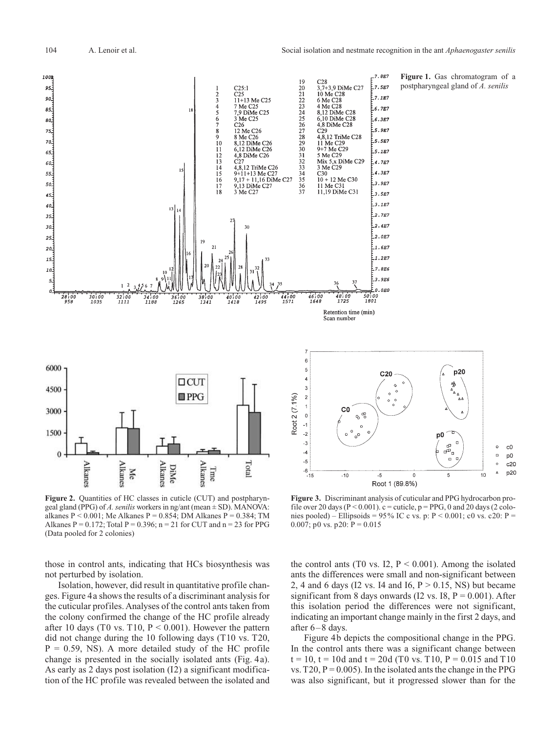$7.8E7$ 

 $7.5E7$ 

 $7.1E7$ 

 $6.7E2$ 

6.3E7

5.9E7

5.5E7

5.1E7

 $4.7E$ 

4.3E7

3.9E7

 $3.5E$ 3.1E7

2.7E7

.<br>12.4E7

.<br>12.OE7

E1.6E7

E1.2E7

 $7.8E6$ 

E3.9E6  $0.0E0$ 

 $C<sub>20</sub>$ 

**Figure 1.** Gas chromatogram of a postpharyngeal gland of *A. senilis*

p20

Δ4

 $\Box$ a<br>Pr

Ъ

 $\circ$  $_{\rm c0}$ 

 $\Box$ 

4

p<sub>0</sub>



p<sub>0</sub>  $\Box$  $\ddot{\circ}$  $c20$  $\blacktriangle$ p20  $-5$  $\mathbf 0$  $10$ 5 Root 1 (89.8%)

Figure 2. Quantities of HC classes in cuticle (CUT) and postpharyngeal gland (PPG) of *A. senilis* workers in ng/ant (mean ± SD). MANOVA: alkanes  $P < 0.001$ ; Me Alkanes  $P = 0.854$ ; DM Alkanes  $P = 0.384$ ; TM Alkanes P = 0.172; Total P = 0.396; n = 21 for CUT and n = 23 for PPG (Data pooled for 2 colonies)

those in control ants, indicating that HCs biosynthesis was not perturbed by isolation.

Isolation, however, did result in quantitative profile changes. Figure 4a shows the results of a discriminant analysis for the cuticular profiles. Analyses of the control ants taken from the colony confirmed the change of the HC profile already after 10 days (T0 vs. T10,  $P < 0.001$ ). However the pattern did not change during the 10 following days (T10 vs. T20,  $P = 0.59$ , NS). A more detailed study of the HC profile change is presented in the socially isolated ants (Fig. 4a). As early as 2 days post isolation (I2) a significant modification of the HC profile was revealed between the isolated and

**Figure 3.** Discriminant analysis of cuticular and PPG hydrocarbon profile over 20 days ( $P < 0.001$ ).  $c =$  cuticle,  $p = PPG$ , 0 and 20 days (2 colonies pooled) – Ellipsoids = 95% IC c vs. p:  $P < 0.001$ ; c0 vs. c20:  $P =$ 0.007; p0 vs. p20:  $P = 0.015$ 

the control ants (T0 vs. I2,  $P < 0.001$ ). Among the isolated ants the differences were small and non-significant between 2, 4 and 6 days (I2 vs. I4 and I6,  $P > 0.15$ , NS) but became significant from 8 days onwards (I2 vs.  $I8, P = 0.001$ ). After this isolation period the differences were not significant, indicating an important change mainly in the first 2 days, and after 6–8 days.

Figure 4b depicts the compositional change in the PPG. In the control ants there was a significant change between  $t = 10$ ,  $t = 10d$  and  $t = 20d$  (T0 vs. T10, P = 0.015 and T10 vs.  $T20$ ,  $P = 0.005$ ). In the isolated ants the change in the PPG was also significant, but it progressed slower than for the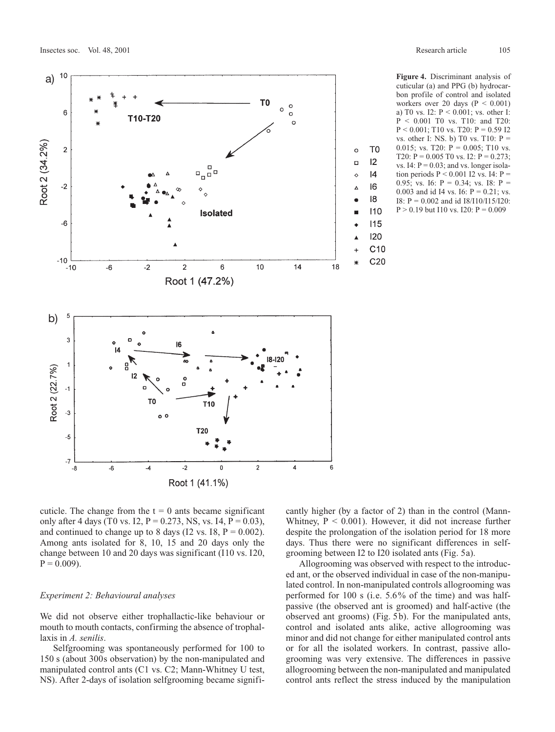

**Figure 4.** Discriminant analysis of cuticular (a) and PPG (b) hydrocarbon profile of control and isolated workers over 20 days ( $P < 0.001$ ) a) T0 vs. I2: P < 0.001; vs. other I: P < 0.001 T0 vs. T10: and T20:  $P < 0.001$ ; T10 vs. T20:  $P = 0.59$  I2 vs. other I: NS. b) T0 vs. T10:  $P =$ 0.015; vs. T20:  $P = 0.005$ ; T10 vs. T20:  $P = 0.005$  T0 vs. I2:  $P = 0.273$ : vs. I4:  $P = 0.03$ ; and vs. longer isolation periods  $P \le 0.001$  I2 vs. I4:  $P =$ 0.95; vs. 16:  $P = 0.34$ ; vs. 18:  $P =$ 0.003 and id I4 vs. I6:  $P = 0.21$ ; vs. I8: P = 0.002 and id I8/I10/I15/I20:  $P > 0.19$  but I10 vs. I20:  $P = 0.009$ 

cuticle. The change from the  $t = 0$  ants became significant only after 4 days (T0 vs. I2,  $P = 0.273$ , NS, vs. I4,  $P = 0.03$ ), and continued to change up to 8 days (I2 vs.  $I8$ ,  $P = 0.002$ ). Among ants isolated for 8, 10, 15 and 20 days only the change between 10 and 20 days was significant (I10 vs. I20,  $P = 0.009$ ).

#### *Experiment 2: Behavioural analyses*

We did not observe either trophallactic-like behaviour or mouth to mouth contacts, confirming the absence of trophallaxis in *A. senilis*.

Selfgrooming was spontaneously performed for 100 to 150 s (about 300s observation) by the non-manipulated and manipulated control ants (C1 vs. C2; Mann-Whitney U test, NS). After 2-days of isolation selfgrooming became significantly higher (by a factor of 2) than in the control (Mann-Whitney,  $P < 0.001$ ). However, it did not increase further despite the prolongation of the isolation period for 18 more days. Thus there were no significant differences in selfgrooming between I2 to I20 isolated ants (Fig. 5a).

Allogrooming was observed with respect to the introduced ant, or the observed individual in case of the non-manipulated control. In non-manipulated controls allogrooming was performed for 100 s (i.e. 5.6% of the time) and was halfpassive (the observed ant is groomed) and half-active (the observed ant grooms) (Fig. 5b). For the manipulated ants, control and isolated ants alike, active allogrooming was minor and did not change for either manipulated control ants or for all the isolated workers. In contrast, passive allogrooming was very extensive. The differences in passive allogrooming between the non-manipulated and manipulated control ants reflect the stress induced by the manipulation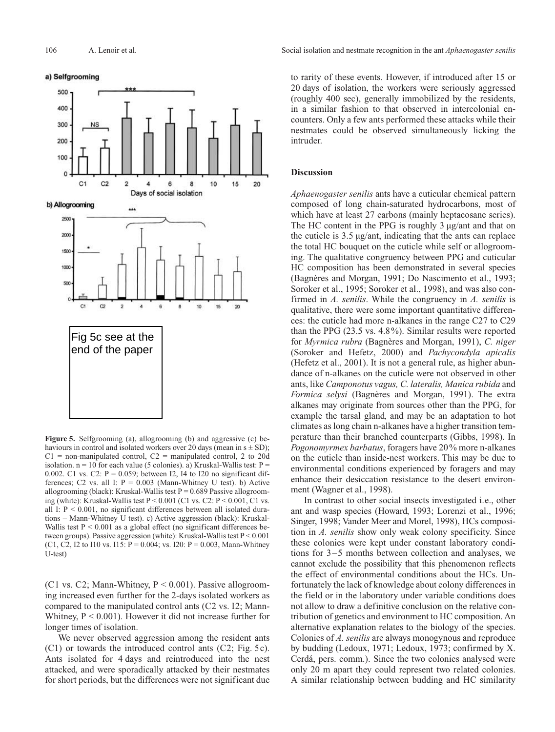

**Figure 5.** Selfgrooming (a), allogrooming (b) and aggressive (c) behaviours in control and isolated workers over 20 days (mean in  $s \pm SD$ );  $C1$  = non-manipulated control,  $C2$  = manipulated control, 2 to 20d isolation.  $n = 10$  for each value (5 colonies). a) Kruskal-Wallis test:  $P =$ 0.002. C1 vs. C2:  $P = 0.059$ ; between I2, I4 to I20 no significant differences; C2 vs. all I:  $P = 0.003$  (Mann-Whitney U test). b) Active allogrooming (black): Kruskal-Wallis test  $P = 0.689$  Passive allogrooming (white): Kruskal-Wallis test  $P \le 0.001$  (C1 vs. C2:  $P \le 0.001$ , C1 vs. all I:  $P < 0.001$ , no significant differences between all isolated durations – Mann-Whitney U test). c) Active aggression (black): Kruskal-Wallis test  $P < 0.001$  as a global effect (no significant differences between groups). Passive aggression (white): Kruskal-Wallis test P < 0.001 (C1, C2, I2 to I10 vs. I15:  $P = 0.004$ ; vs. I20:  $P = 0.003$ , Mann-Whitney U-test)

(C1 vs. C2; Mann-Whitney,  $P \le 0.001$ ). Passive allogrooming increased even further for the 2-days isolated workers as compared to the manipulated control ants (C2 vs. I2; Mann-Whitney,  $P < 0.001$ ). However it did not increase further for longer times of isolation.

We never observed aggression among the resident ants (C1) or towards the introduced control ants (C2; Fig. 5c). Ants isolated for 4 days and reintroduced into the nest attacked, and were sporadically attacked by their nestmates for short periods, but the differences were not significant due

106 A. Lenoir et al. Social isolation and nestmate recognition in the ant *Aphaenogaster senilis*

to rarity of these events. However, if introduced after 15 or 20 days of isolation, the workers were seriously aggressed (roughly 400 sec), generally immobilized by the residents, in a similar fashion to that observed in intercolonial encounters. Only a few ants performed these attacks while their nestmates could be observed simultaneously licking the intruder.

#### **Discussion**

*Aphaenogaster senilis* ants have a cuticular chemical pattern composed of long chain-saturated hydrocarbons, most of which have at least 27 carbons (mainly heptacosane series). The HC content in the PPG is roughly 3 µg/ant and that on the cuticle is 3.5 µg/ant, indicating that the ants can replace the total HC bouquet on the cuticle while self or allogrooming. The qualitative congruency between PPG and cuticular HC composition has been demonstrated in several species (Bagnères and Morgan, 1991; Do Nascimento et al., 1993; Soroker et al., 1995; Soroker et al., 1998), and was also confirmed in *A. senilis*. While the congruency in *A. senilis* is qualitative, there were some important quantitative differences: the cuticle had more n-alkanes in the range C27 to C29 than the PPG (23.5 vs. 4.8%). Similar results were reported for *Myrmica rubra* (Bagnères and Morgan, 1991), *C. niger* (Soroker and Hefetz, 2000) and *Pachycondyla apicalis* (Hefetz et al., 2001). It is not a general rule, as higher abundance of n-alkanes on the cuticle were not observed in other ants, like *Camponotus vagus, C. lateralis, Manica rubida* and *Formica selysi* (Bagnères and Morgan, 1991). The extra alkanes may originate from sources other than the PPG, for example the tarsal gland, and may be an adaptation to hot climates as long chain n-alkanes have a higher transition temperature than their branched counterparts (Gibbs, 1998). In *Pogonomyrmex barbatus*, foragers have 20% more n-alkanes on the cuticle than inside-nest workers. This may be due to environmental conditions experienced by foragers and may enhance their desiccation resistance to the desert environment (Wagner et al., 1998).

In contrast to other social insects investigated i.e., other ant and wasp species (Howard, 1993; Lorenzi et al., 1996; Singer, 1998; Vander Meer and Morel, 1998), HCs composition in *A. senilis* show only weak colony specificity. Since these colonies were kept under constant laboratory conditions for 3–5 months between collection and analyses, we cannot exclude the possibility that this phenomenon reflects the effect of environmental conditions about the HCs. Unfortunately the lack of knowledge about colony differences in the field or in the laboratory under variable conditions does not allow to draw a definitive conclusion on the relative contribution of genetics and environment to HC composition. An alternative explanation relates to the biology of the species. Colonies of *A. senilis* are always monogynous and reproduce by budding (Ledoux, 1971; Ledoux, 1973; confirmed by X. Cerdá, pers. comm.). Since the two colonies analysed were only 20 m apart they could represent two related colonies. A similar relationship between budding and HC similarity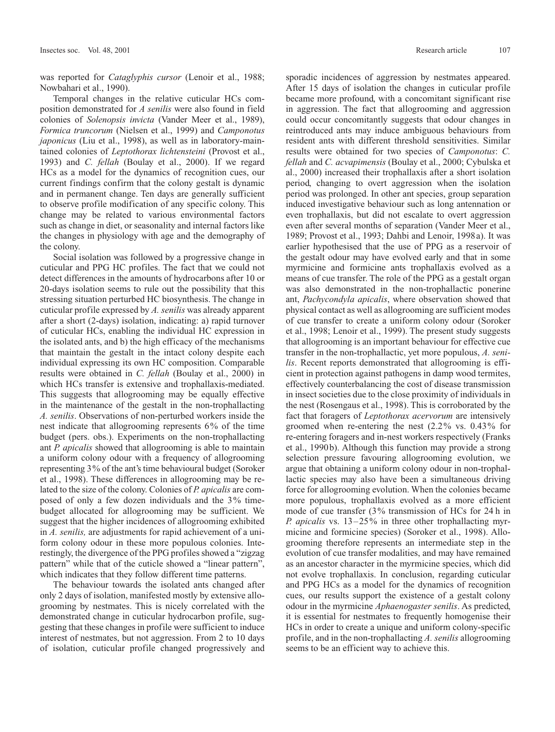was reported for *Cataglyphis cursor* (Lenoir et al., 1988; Nowbahari et al., 1990).

Temporal changes in the relative cuticular HCs composition demonstrated for *A senilis* were also found in field colonies of *Solenopsis invicta* (Vander Meer et al., 1989), *Formica truncorum* (Nielsen et al., 1999) and *Camponotus japonicus* (Liu et al., 1998), as well as in laboratory-maintained colonies of *Leptothorax lichtensteini* (Provost et al., 1993) and *C. fellah* (Boulay et al., 2000). If we regard HCs as a model for the dynamics of recognition cues, our current findings confirm that the colony gestalt is dynamic and in permanent change. Ten days are generally sufficient to observe profile modification of any specific colony. This change may be related to various environmental factors such as change in diet, or seasonality and internal factors like the changes in physiology with age and the demography of the colony.

Social isolation was followed by a progressive change in cuticular and PPG HC profiles. The fact that we could not detect differences in the amounts of hydrocarbons after 10 or 20-days isolation seems to rule out the possibility that this stressing situation perturbed HC biosynthesis. The change in cuticular profile expressed by *A. senilis* was already apparent after a short (2-days) isolation, indicating: a) rapid turnover of cuticular HCs, enabling the individual HC expression in the isolated ants, and b) the high efficacy of the mechanisms that maintain the gestalt in the intact colony despite each individual expressing its own HC composition. Comparable results were obtained in *C. fellah* (Boulay et al., 2000) in which HCs transfer is extensive and trophallaxis-mediated. This suggests that allogrooming may be equally effective in the maintenance of the gestalt in the non-trophallacting *A. senilis*. Observations of non-perturbed workers inside the nest indicate that allogrooming represents 6% of the time budget (pers. obs.). Experiments on the non-trophallacting ant *P. apicalis* showed that allogrooming is able to maintain a uniform colony odour with a frequency of allogrooming representing 3% of the ant's time behavioural budget (Soroker et al., 1998). These differences in allogrooming may be related to the size of the colony. Colonies of *P. apicalis* are composed of only a few dozen individuals and the 3% timebudget allocated for allogrooming may be sufficient. We suggest that the higher incidences of allogrooming exhibited in *A. senilis,* are adjustments for rapid achievement of a uniform colony odour in these more populous colonies. Interestingly, the divergence of the PPG profiles showed a "zigzag pattern" while that of the cuticle showed a "linear pattern", which indicates that they follow different time patterns.

The behaviour towards the isolated ants changed after only 2 days of isolation, manifested mostly by extensive allogrooming by nestmates. This is nicely correlated with the demonstrated change in cuticular hydrocarbon profile, suggesting that these changes in profile were sufficient to induce interest of nestmates, but not aggression. From 2 to 10 days of isolation, cuticular profile changed progressively and

sporadic incidences of aggression by nestmates appeared. After 15 days of isolation the changes in cuticular profile became more profound, with a concomitant significant rise in aggression. The fact that allogrooming and aggression could occur concomitantly suggests that odour changes in reintroduced ants may induce ambiguous behaviours from resident ants with different threshold sensitivities. Similar results were obtained for two species of *Camponotus*: *C. fellah* and *C. acvapimensis* (Boulay et al., 2000; Cybulska et al., 2000) increased their trophallaxis after a short isolation period, changing to overt aggression when the isolation period was prolonged. In other ant species, group separation induced investigative behaviour such as long antennation or even trophallaxis, but did not escalate to overt aggression even after several months of separation (Vander Meer et al., 1989; Provost et al., 1993; Dahbi and Lenoir, 1998a). It was earlier hypothesised that the use of PPG as a reservoir of the gestalt odour may have evolved early and that in some myrmicine and formicine ants trophallaxis evolved as a means of cue transfer. The role of the PPG as a gestalt organ was also demonstrated in the non-trophallactic ponerine ant, *Pachycondyla apicalis*, where observation showed that physical contact as well as allogrooming are sufficient modes of cue transfer to create a uniform colony odour (Soroker et al., 1998; Lenoir et al., 1999). The present study suggests that allogrooming is an important behaviour for effective cue transfer in the non-trophallactic, yet more populous, *A. senilis*. Recent reports demonstrated that allogrooming is efficient in protection against pathogens in damp wood termites, effectively counterbalancing the cost of disease transmission in insect societies due to the close proximity of individuals in the nest (Rosengaus et al., 1998). This is corroborated by the fact that foragers of *Leptothorax acervorum* are intensively groomed when re-entering the nest (2.2% vs. 0.43% for re-entering foragers and in-nest workers respectively (Franks et al., 1990b). Although this function may provide a strong selection pressure favouring allogrooming evolution, we argue that obtaining a uniform colony odour in non-trophallactic species may also have been a simultaneous driving force for allogrooming evolution. When the colonies became more populous, trophallaxis evolved as a more efficient mode of cue transfer (3% transmission of HCs for 24 h in *P. apicalis* vs. 13–25% in three other trophallacting myrmicine and formicine species) (Soroker et al., 1998). Allogrooming therefore represents an intermediate step in the evolution of cue transfer modalities, and may have remained as an ancestor character in the myrmicine species, which did not evolve trophallaxis. In conclusion, regarding cuticular and PPG HCs as a model for the dynamics of recognition cues, our results support the existence of a gestalt colony odour in the myrmicine *Aphaenogaster senilis*. As predicted, it is essential for nestmates to frequently homogenise their HCs in order to create a unique and uniform colony-specific profile, and in the non-trophallacting *A. senilis* allogrooming seems to be an efficient way to achieve this.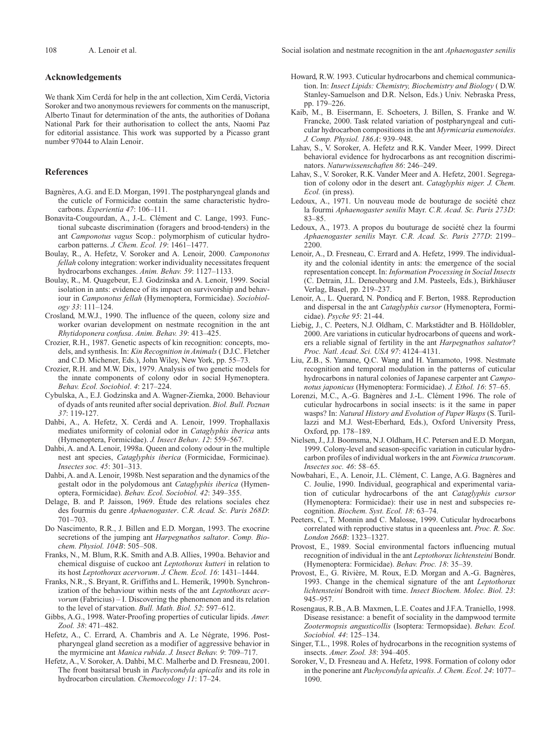#### **Acknowledgements**

We thank Xim Cerdá for help in the ant collection, Xim Cerdá, Victoria Soroker and two anonymous reviewers for comments on the manuscript, Alberto Tinaut for determination of the ants, the authorities of Doñana National Park for their authorisation to collect the ants, Naomi Paz for editorial assistance. This work was supported by a Picasso grant number 97044 to Alain Lenoir.

## **References**

- Bagnères, A.G. and E.D. Morgan, 1991. The postpharyngeal glands and the cuticle of Formicidae contain the same characteristic hydrocarbons. *Experientia 47*: 106–111.
- Bonavita-Cougourdan, A., J.-L. Clément and C. Lange, 1993. Functional subcaste discrimination (foragers and brood-tenders) in the ant *Camponotus vagus* Scop.: polymorphism of cuticular hydrocarbon patterns. *J. Chem. Ecol. 19*: 1461–1477.
- Boulay, R., A. Hefetz, V. Soroker and A. Lenoir, 2000. *Camponotus fellah* colony integration: worker individuality necessitates frequent hydrocarbons exchanges. *Anim. Behav. 59*: 1127–1133.
- Boulay, R., M. Quagebeur, E.J. Godzinska and A. Lenoir, 1999. Social isolation in ants: evidence of its impact on survivorship and behaviour in *Camponotus fellah* (Hymenoptera, Formicidae). *Sociobiology 33*: 111–124.
- Crosland, M.W.J., 1990. The influence of the queen, colony size and worker ovarian development on nestmate recognition in the ant *Rhytidoponera confusa*. *Anim. Behav. 39*: 413–425.
- Crozier, R.H., 1987. Genetic aspects of kin recognition: concepts, models, and synthesis. In: *Kin Recognition in Animals* ( D.J.C. Fletcher and C.D. Michener, Eds.), John Wiley, New York, pp. 55–73.
- Crozier, R.H. and M.W. Dix, 1979. Analysis of two genetic models for the innate components of colony odor in social Hymenoptera. *Behav. Ecol. Sociobiol*. *4*: 217–224.
- Cybulska, A., E.J. Godzinska and A. Wagner-Ziemka, 2000. Behaviour of dyads of ants reunited after social deprivation. *Biol. Bull. Poznan 37*: 119-127.
- Dahbi, A., A. Hefetz, X. Cerdá and A. Lenoir, 1999. Trophallaxis mediates uniformity of colonial odor in *Cataglyphis iberica* ants (Hymenoptera, Formicidae). *J. Insect Behav*. *12*: 559–567.
- Dahbi, A. and A. Lenoir, 1998a. Queen and colony odour in the multiple nest ant species, *Cataglyphis iberica* (Formicidae, Formicinae). *Insectes soc. 45*: 301–313.
- Dahbi, A. and A. Lenoir, 1998b. Nest separation and the dynamics of the gestalt odor in the polydomous ant *Cataglyphis iberica* (Hymenoptera, Formicidae). *Behav. Ecol. Sociobiol. 42*: 349–355.
- Delage, B. and P. Jaisson, 1969. Étude des relations sociales chez des fourmis du genre *Aphaenogaster*. *C.R. Acad. Sc. Paris 268D*: 701–703.
- Do Nascimento, R.R., J. Billen and E.D. Morgan, 1993. The exocrine secretions of the jumping ant *Harpegnathos saltator*. *Comp. Biochem. Physiol. 104B*: 505–508.
- Franks, N., M. Blum, R.K. Smith and A.B. Allies, 1990a. Behavior and chemical disguise of cuckoo ant *Leptothorax kutteri* in relation to its host *Leptothorax acervorum*. *J. Chem. Ecol. 16*: 1431–1444.
- Franks, N.R., S. Bryant, R. Griffiths and L. Hemerik, 1990b. Synchronization of the behaviour within nests of the ant *Leptothorax acervorum* (Fabricius) – I. Discovering the phenomenon and its relation to the level of starvation. *Bull. Math. Biol. 52*: 597–612.
- Gibbs, A.G., 1998. Water-Proofing properties of cuticular lipids. *Amer. Zool. 38*: 471–482.
- Hefetz, A., C. Errard, A. Chambris and A. Le Négrate, 1996. Postpharyngeal gland secretion as a modifier of aggressive behavior in the myrmicine ant *Manica rubida*. *J. Insect Behav. 9*: 709–717.
- Hefetz, A., V. Soroker, A. Dahbi, M.C. Malherbe and D. Fresneau, 2001. The front basitarsal brush in *Pachycondyla apicalis* and its role in hydrocarbon circulation. *Chemoecology 11*: 17–24.
- Howard, R.W. 1993. Cuticular hydrocarbons and chemical communication. In: *Insect Lipids: Chemistry, Biochemistry and Biology* ( D.W. Stanley-Samuelson and D.R. Nelson, Eds.) Univ. Nebraska Press, pp. 179–226.
- Kaib, M., B. Eisermann, E. Schoeters, J. Billen, S. Franke and W. Francke, 2000. Task related variation of postpharyngeal and cuticular hydrocarbon compositions in the ant *Myrmicaria eumenoides*. *J. Comp. Physiol. 186A*: 939–948.
- Lahav, S., V. Soroker, A. Hefetz and R.K. Vander Meer, 1999. Direct behavioral evidence for hydrocarbons as ant recognition discriminators. *Naturwissenschaften 86*: 246–249.
- Lahav, S., V. Soroker, R.K. Vander Meer and A. Hefetz, 2001. Segregation of colony odor in the desert ant. *Cataglyphis niger. J. Chem. Ecol.* (in press).
- Ledoux, A., 1971. Un nouveau mode de bouturage de société chez la fourmi *Aphaenogaster senilis* Mayr. *C.R. Acad. Sc. Paris 273D*: 83–85.
- Ledoux, A., 1973. A propos du bouturage de société chez la fourmi *Aphaenogaster senilis* Mayr. *C.R. Acad. Sc. Paris 277D*: 2199– 2200.
- Lenoir, A., D. Fresneau, C. Errard and A. Hefetz, 1999. The individuality and the colonial identity in ants: the emergence of the social representation concept. In: *Information Processing in Social Insects* (C. Detrain, J.L. Deneubourg and J.M. Pasteels, Eds.), Birkhäuser Verlag, Basel, pp. 219–237.
- Lenoir, A., L. Querard, N. Pondicq and F. Berton, 1988. Reproduction and dispersal in the ant *Cataglyphis cursor* (Hymenoptera, Formicidae). *Psyche 95*: 21-44.
- Liebig, J., C. Peeters, N.J. Oldham, C. Markstädter and B. Hölldobler, 2000. Are variations in cuticular hydrocarbons of queens and workers a reliable signal of fertility in the ant *Harpegnathos saltator*? *Proc. Natl. Acad. Sci. USA 97*: 4124–4131.
- Liu, Z.B., S. Yamane, Q.C. Wang and H. Yamamoto, 1998. Nestmate recognition and temporal modulation in the patterns of cuticular hydrocarbons in natural colonies of Japanese carpenter ant *Camponotus japonicus* (Hymenoptera: Formicidae). *J. Ethol. 16*: 57–65.
- Lorenzi, M.C., A.-G. Bagnères and J.-L. Clément 1996. The role of cuticular hydrocarbons in social insects: is it the same in paper wasps? In: *Natural History and Evolution of Paper Wasps* (S. Turillazzi and M.J. West-Eberhard, Eds.), Oxford University Press, Oxford, pp. 178–189.
- Nielsen, J., J.J. Boomsma, N.J. Oldham, H.C. Petersen and E.D. Morgan, 1999. Colony-level and season-specific variation in cuticular hydrocarbon profiles of individual workers in the ant *Formica truncorum*. *Insectes soc. 46*: 58–65.
- Nowbahari, E., A. Lenoir, J.L. Clément, C. Lange, A.G. Bagnères and C. Joulie, 1990. Individual, geographical and experimental variation of cuticular hydrocarbons of the ant *Cataglyphis cursor* (Hymenoptera: Formicidae): their use in nest and subspecies recognition. *Biochem. Syst. Ecol. 18*: 63–74.
- Peeters, C., T. Monnin and C. Malosse, 1999. Cuticular hydrocarbons correlated with reproductive status in a queenless ant. *Proc. R. Soc. London 266B*: 1323–1327.
- Provost, E., 1989. Social environmental factors influencing mutual recognition of individual in the ant *Leptothorax lichtensteini* Bondr. (Hymenoptera: Formicidae). *Behav. Proc. 18*: 35–39.
- Provost, E., G. Rivière, M. Roux, E.D. Morgan and A.-G. Bagnères, 1993. Change in the chemical signature of the ant *Leptothorax lichtensteini* Bondroit with time. *Insect Biochem. Molec. Biol. 23*: 945–957.
- Rosengaus, R.B., A.B. Maxmen, L.E. Coates and J.F.A. Traniello, 1998. Disease resistance: a benefit of sociality in the dampwood termite *Zootermopsis angusticollis* (Isoptera: Termopsidae). *Behav. Ecol. Sociobiol. 44*: 125–134.
- Singer, T.L., 1998. Roles of hydrocarbons in the recognition systems of insects. *Amer. Zool. 38*: 394–405.
- Soroker, V., D. Fresneau and A. Hefetz, 1998. Formation of colony odor in the ponerine ant *Pachycondyla apicalis. J. Chem. Ecol. 24*: 1077– 1090.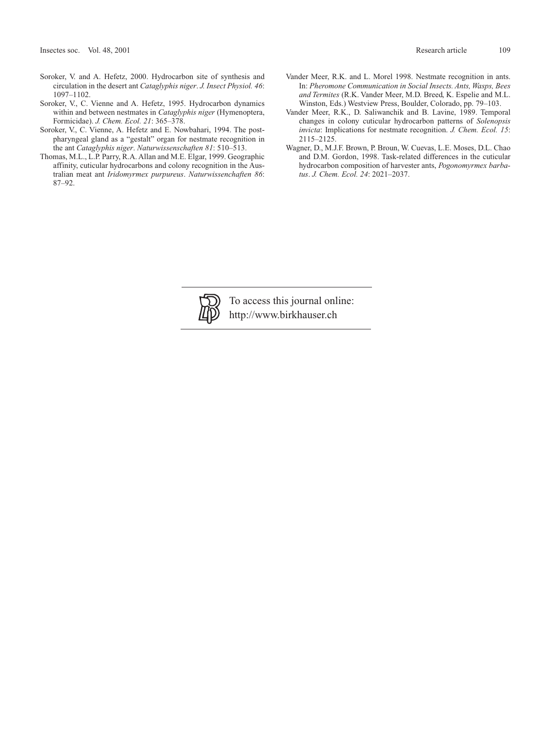- Soroker, V. and A. Hefetz, 2000. Hydrocarbon site of synthesis and circulation in the desert ant *Cataglyphis niger*. *J. Insect Physiol. 46*: 1097–1102.
- Soroker, V., C. Vienne and A. Hefetz, 1995. Hydrocarbon dynamics within and between nestmates in *Cataglyphis niger* (Hymenoptera, Formicidae). *J. Chem. Ecol. 21*: 365–378.
- Soroker, V., C. Vienne, A. Hefetz and E. Nowbahari, 1994. The postpharyngeal gland as a "gestalt" organ for nestmate recognition in the ant *Cataglyphis niger*. *Naturwissenschaften 81*: 510–513.
- Thomas, M.L., L.P. Parry, R.A. Allan and M.E. Elgar, 1999. Geographic affinity, cuticular hydrocarbons and colony recognition in the Australian meat ant *Iridomyrmex purpureus*. *Naturwissenchaften 86*: 87–92.
- Vander Meer, R.K. and L. Morel 1998. Nestmate recognition in ants. In: *Pheromone Communication in Social Insects. Ants, Wasps, Bees and Termites* (R.K. Vander Meer, M.D. Breed, K. Espelie and M.L. Winston, Eds.) Westview Press, Boulder, Colorado, pp. 79–103.
- Vander Meer, R.K., D. Saliwanchik and B. Lavine, 1989. Temporal changes in colony cuticular hydrocarbon patterns of *Solenopsis invicta*: Implications for nestmate recognition. *J. Chem. Ecol. 15*: 2115–2125.
- Wagner, D., M.J.F. Brown, P. Broun, W. Cuevas, L.E. Moses, D.L. Chao and D.M. Gordon, 1998. Task-related differences in the cuticular hydrocarbon composition of harvester ants, *Pogonomyrmex barbatus*. *J. Chem. Ecol. 24*: 2021–2037.



To access this journal online: http://www.birkhauser.ch